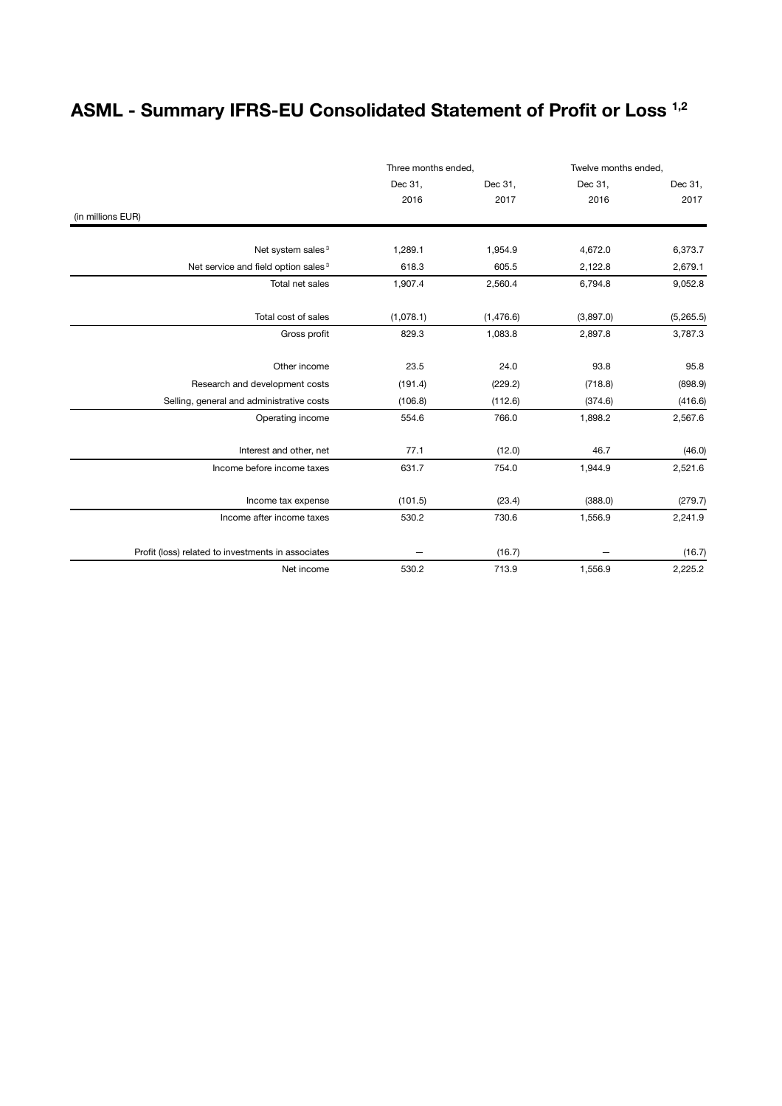## **ASML - Summary IFRS-EU Consolidated Statement of Profit or Loss 1,2**

|                                                    | Three months ended, |           | Twelve months ended, |           |
|----------------------------------------------------|---------------------|-----------|----------------------|-----------|
|                                                    | Dec 31,             | Dec 31,   | Dec 31,              | Dec 31,   |
|                                                    | 2016                | 2017      | 2016                 | 2017      |
| (in millions EUR)                                  |                     |           |                      |           |
| Net system sales <sup>3</sup>                      | 1,289.1             | 1,954.9   | 4,672.0              | 6,373.7   |
| Net service and field option sales <sup>3</sup>    | 618.3               | 605.5     | 2,122.8              | 2,679.1   |
| Total net sales                                    | 1,907.4             | 2,560.4   | 6,794.8              | 9,052.8   |
| Total cost of sales                                | (1,078.1)           | (1,476.6) | (3,897.0)            | (5,265.5) |
| Gross profit                                       | 829.3               | 1,083.8   | 2,897.8              | 3,787.3   |
| Other income                                       | 23.5                | 24.0      | 93.8                 | 95.8      |
| Research and development costs                     | (191.4)             | (229.2)   | (718.8)              | (898.9)   |
| Selling, general and administrative costs          | (106.8)             | (112.6)   | (374.6)              | (416.6)   |
| Operating income                                   | 554.6               | 766.0     | 1,898.2              | 2,567.6   |
| Interest and other, net                            | 77.1                | (12.0)    | 46.7                 | (46.0)    |
| Income before income taxes                         | 631.7               | 754.0     | 1,944.9              | 2,521.6   |
| Income tax expense                                 | (101.5)             | (23.4)    | (388.0)              | (279.7)   |
| Income after income taxes                          | 530.2               | 730.6     | 1,556.9              | 2,241.9   |
| Profit (loss) related to investments in associates |                     | (16.7)    |                      | (16.7)    |
| Net income                                         | 530.2               | 713.9     | 1,556.9              | 2,225.2   |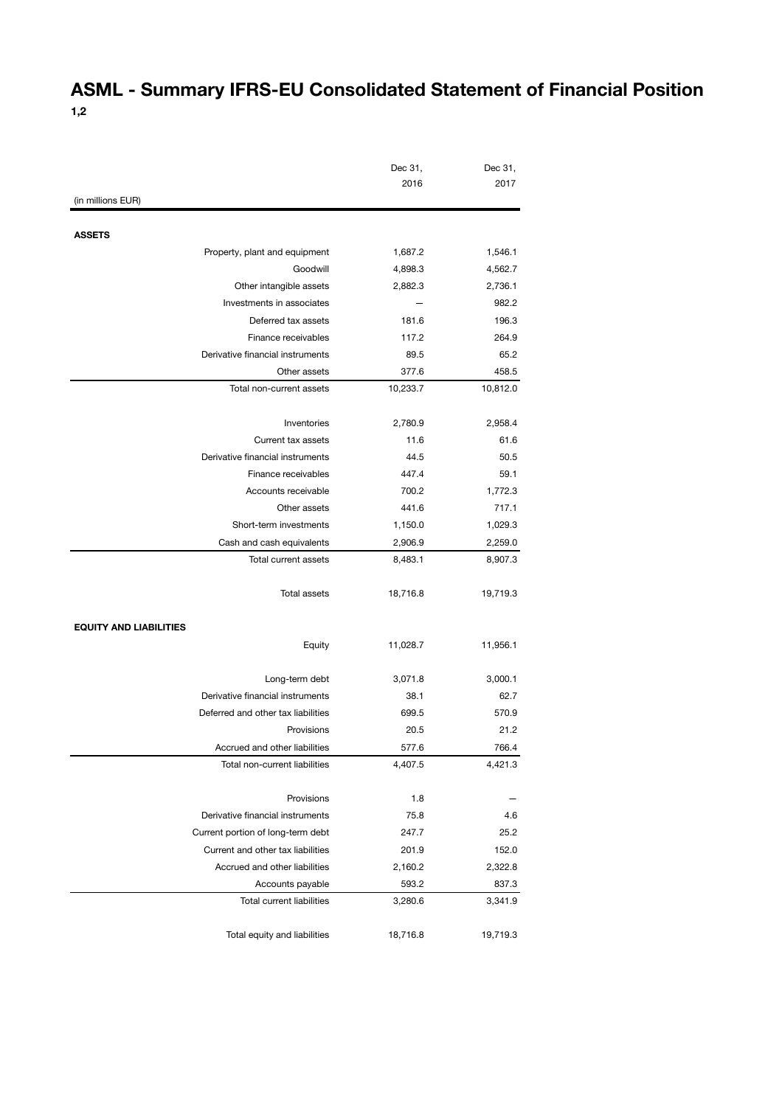### **ASML - Summary IFRS-EU Consolidated Statement of Financial Position 1,2**

|                                    | Dec 31,            | Dec 31,  |
|------------------------------------|--------------------|----------|
|                                    | 2016               | 2017     |
| (in millions EUR)                  |                    |          |
| <b>ASSETS</b>                      |                    |          |
| Property, plant and equipment      | 1,687.2            | 1,546.1  |
| Goodwill                           | 4,898.3            | 4,562.7  |
| Other intangible assets            | 2,882.3            | 2,736.1  |
| Investments in associates          |                    | 982.2    |
| Deferred tax assets                | 181.6              | 196.3    |
| Finance receivables                | 117.2              | 264.9    |
| Derivative financial instruments   | 89.5               | 65.2     |
| Other assets                       | 377.6              | 458.5    |
| Total non-current assets           | 10,233.7           | 10,812.0 |
| Inventories                        | 2,780.9            | 2,958.4  |
| Current tax assets                 | 11.6               | 61.6     |
| Derivative financial instruments   | 44.5               | 50.5     |
| Finance receivables                | 447.4              | 59.1     |
| Accounts receivable                | 700.2              | 1,772.3  |
| Other assets                       | 441.6              | 717.1    |
| Short-term investments             |                    | 1,029.3  |
| Cash and cash equivalents          | 1,150.0<br>2,906.9 | 2,259.0  |
| Total current assets               | 8,483.1            | 8,907.3  |
|                                    |                    |          |
| <b>Total assets</b>                | 18,716.8           | 19,719.3 |
| <b>EQUITY AND LIABILITIES</b>      |                    |          |
| Equity                             | 11,028.7           | 11,956.1 |
| Long-term debt                     | 3,071.8            | 3,000.1  |
| Derivative financial instruments   | 38.1               | 62.7     |
| Deferred and other tax liabilities | 699.5              | 570.9    |
| Provisions                         | 20.5               | 21.2     |
| Accrued and other liabilities      | 577.6              | 766.4    |
| Total non-current liabilities      | 4,407.5            | 4,421.3  |
| Provisions                         | 1.8                |          |
| Derivative financial instruments   | 75.8               | 4.6      |
| Current portion of long-term debt  | 247.7              | 25.2     |
| Current and other tax liabilities  | 201.9              | 152.0    |
| Accrued and other liabilities      | 2,160.2            | 2,322.8  |
| Accounts payable                   | 593.2              | 837.3    |
| <b>Total current liabilities</b>   | 3,280.6            | 3,341.9  |
|                                    |                    |          |
| Total equity and liabilities       | 18,716.8           | 19,719.3 |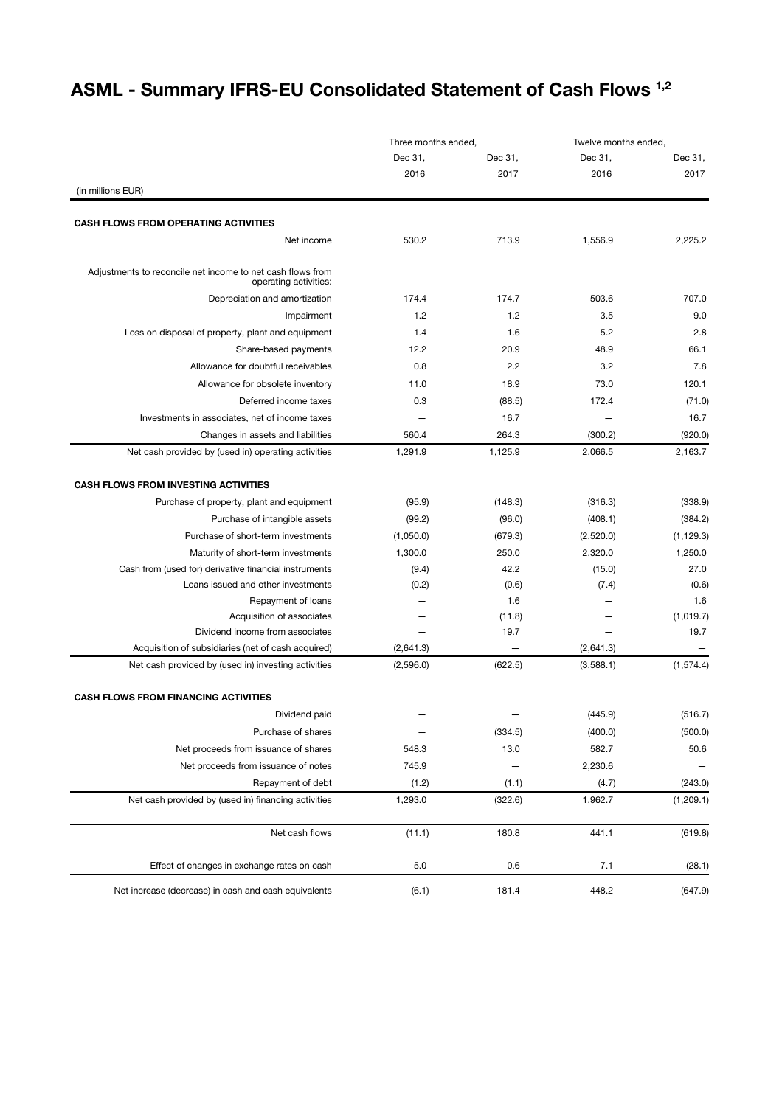# **ASML - Summary IFRS-EU Consolidated Statement of Cash Flows 1,2**

|                                                                                     | Three months ended. |         | Twelve months ended. |            |
|-------------------------------------------------------------------------------------|---------------------|---------|----------------------|------------|
|                                                                                     | Dec 31,             | Dec 31, | Dec 31,              | Dec 31,    |
|                                                                                     | 2016                | 2017    | 2016                 | 2017       |
| (in millions EUR)                                                                   |                     |         |                      |            |
| <b>CASH FLOWS FROM OPERATING ACTIVITIES</b>                                         |                     |         |                      |            |
| Net income                                                                          | 530.2               | 713.9   | 1,556.9              | 2,225.2    |
| Adjustments to reconcile net income to net cash flows from<br>operating activities: |                     |         |                      |            |
| Depreciation and amortization                                                       | 174.4               | 174.7   | 503.6                | 707.0      |
| Impairment                                                                          | 1.2                 | 1.2     | 3.5                  | 9.0        |
| Loss on disposal of property, plant and equipment                                   | 1.4                 | 1.6     | 5.2                  | 2.8        |
| Share-based payments                                                                | 12.2                | 20.9    | 48.9                 | 66.1       |
| Allowance for doubtful receivables                                                  | 0.8                 | 2.2     | 3.2                  | 7.8        |
| Allowance for obsolete inventory                                                    | 11.0                | 18.9    | 73.0                 | 120.1      |
| Deferred income taxes                                                               | 0.3                 | (88.5)  | 172.4                | (71.0)     |
| Investments in associates, net of income taxes                                      |                     | 16.7    |                      | 16.7       |
| Changes in assets and liabilities                                                   | 560.4               | 264.3   | (300.2)              | (920.0)    |
| Net cash provided by (used in) operating activities                                 | 1,291.9             | 1,125.9 | 2,066.5              | 2,163.7    |
| <b>CASH FLOWS FROM INVESTING ACTIVITIES</b>                                         |                     |         |                      |            |
| Purchase of property, plant and equipment                                           | (95.9)              | (148.3) | (316.3)              | (338.9)    |
| Purchase of intangible assets                                                       | (99.2)              | (96.0)  | (408.1)              | (384.2)    |
| Purchase of short-term investments                                                  | (1,050.0)           | (679.3) | (2,520.0)            | (1, 129.3) |
| Maturity of short-term investments                                                  | 1,300.0             | 250.0   | 2,320.0              | 1,250.0    |
| Cash from (used for) derivative financial instruments                               | (9.4)               | 42.2    | (15.0)               | 27.0       |
| Loans issued and other investments                                                  | (0.2)               | (0.6)   | (7.4)                | (0.6)      |
| Repayment of loans                                                                  |                     | 1.6     |                      | 1.6        |
| Acquisition of associates                                                           |                     | (11.8)  |                      | (1,019.7)  |
| Dividend income from associates                                                     | $\equiv$            | 19.7    |                      | 19.7       |
| Acquisition of subsidiaries (net of cash acquired)                                  | (2,641.3)           |         | (2,641.3)            |            |
| Net cash provided by (used in) investing activities                                 | (2,596.0)           | (622.5) | (3,588.1)            | (1, 574.4) |
| <b>CASH FLOWS FROM FINANCING ACTIVITIES</b>                                         |                     |         |                      |            |
| Dividend paid                                                                       |                     |         | (445.9)              | (516.7)    |
| Purchase of shares                                                                  |                     | (334.5) | (400.0)              | (500.0)    |
| Net proceeds from issuance of shares                                                | 548.3               | 13.0    | 582.7                | 50.6       |
| Net proceeds from issuance of notes                                                 | 745.9               |         | 2,230.6              |            |
| Repayment of debt                                                                   | (1.2)               | (1.1)   | (4.7)                | (243.0)    |
| Net cash provided by (used in) financing activities                                 | 1,293.0             | (322.6) | 1,962.7              | (1,209.1)  |
| Net cash flows                                                                      | (11.1)              | 180.8   | 441.1                | (619.8)    |
| Effect of changes in exchange rates on cash                                         | 5.0                 | 0.6     | 7.1                  | (28.1)     |
| Net increase (decrease) in cash and cash equivalents                                | (6.1)               | 181.4   | 448.2                | (647.9)    |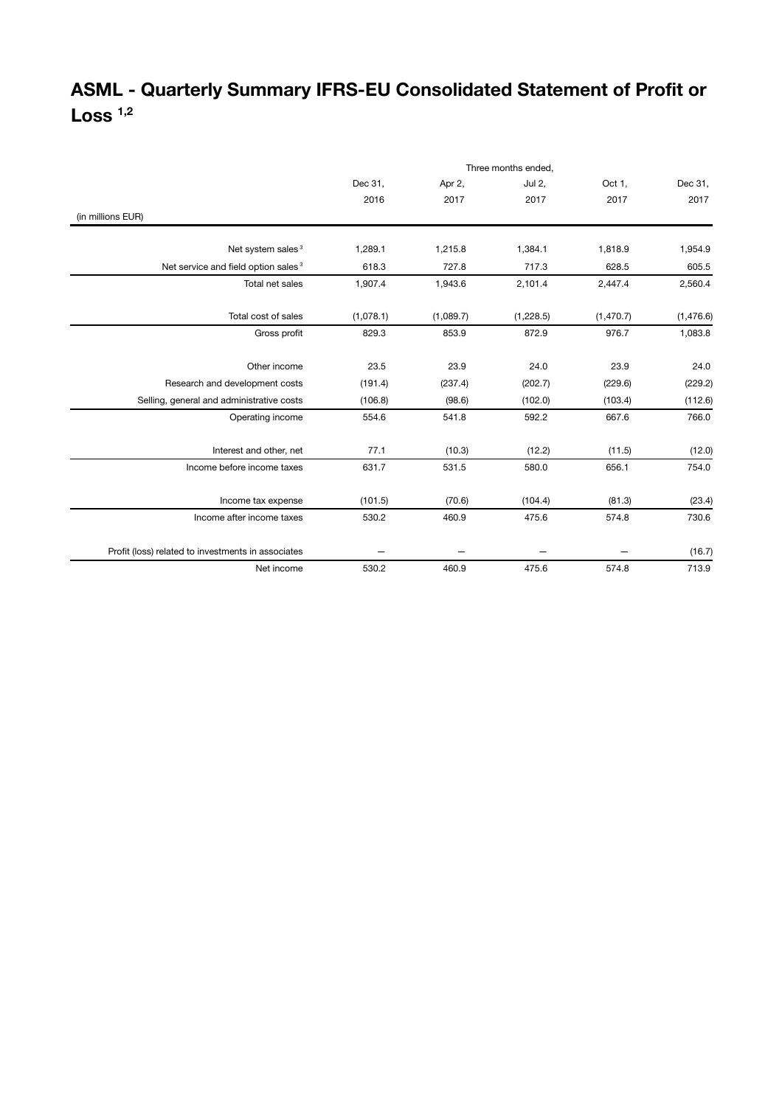## **ASML - Quarterly Summary IFRS-EU Consolidated Statement of Profit or Loss 1,2**

|                                                    | Three months ended, |           |           |            |           |
|----------------------------------------------------|---------------------|-----------|-----------|------------|-----------|
|                                                    | Dec 31,             | Apr 2,    | Jul 2,    | Oct 1,     | Dec 31,   |
|                                                    | 2016                | 2017      | 2017      | 2017       | 2017      |
| (in millions EUR)                                  |                     |           |           |            |           |
|                                                    |                     |           |           |            |           |
| Net system sales <sup>3</sup>                      | 1,289.1             | 1,215.8   | 1,384.1   | 1,818.9    | 1,954.9   |
| Net service and field option sales <sup>3</sup>    | 618.3               | 727.8     | 717.3     | 628.5      | 605.5     |
| Total net sales                                    | 1,907.4             | 1,943.6   | 2,101.4   | 2,447.4    | 2,560.4   |
| Total cost of sales                                | (1,078.1)           | (1,089.7) | (1,228.5) | (1, 470.7) | (1,476.6) |
| Gross profit                                       | 829.3               | 853.9     | 872.9     | 976.7      | 1,083.8   |
| Other income                                       | 23.5                | 23.9      | 24.0      | 23.9       | 24.0      |
| Research and development costs                     | (191.4)             | (237.4)   | (202.7)   | (229.6)    | (229.2)   |
| Selling, general and administrative costs          | (106.8)             | (98.6)    | (102.0)   | (103.4)    | (112.6)   |
| Operating income                                   | 554.6               | 541.8     | 592.2     | 667.6      | 766.0     |
| Interest and other, net                            | 77.1                | (10.3)    | (12.2)    | (11.5)     | (12.0)    |
| Income before income taxes                         | 631.7               | 531.5     | 580.0     | 656.1      | 754.0     |
| Income tax expense                                 | (101.5)             | (70.6)    | (104.4)   | (81.3)     | (23.4)    |
| Income after income taxes                          | 530.2               | 460.9     | 475.6     | 574.8      | 730.6     |
| Profit (loss) related to investments in associates |                     |           |           |            | (16.7)    |
| Net income                                         | 530.2               | 460.9     | 475.6     | 574.8      | 713.9     |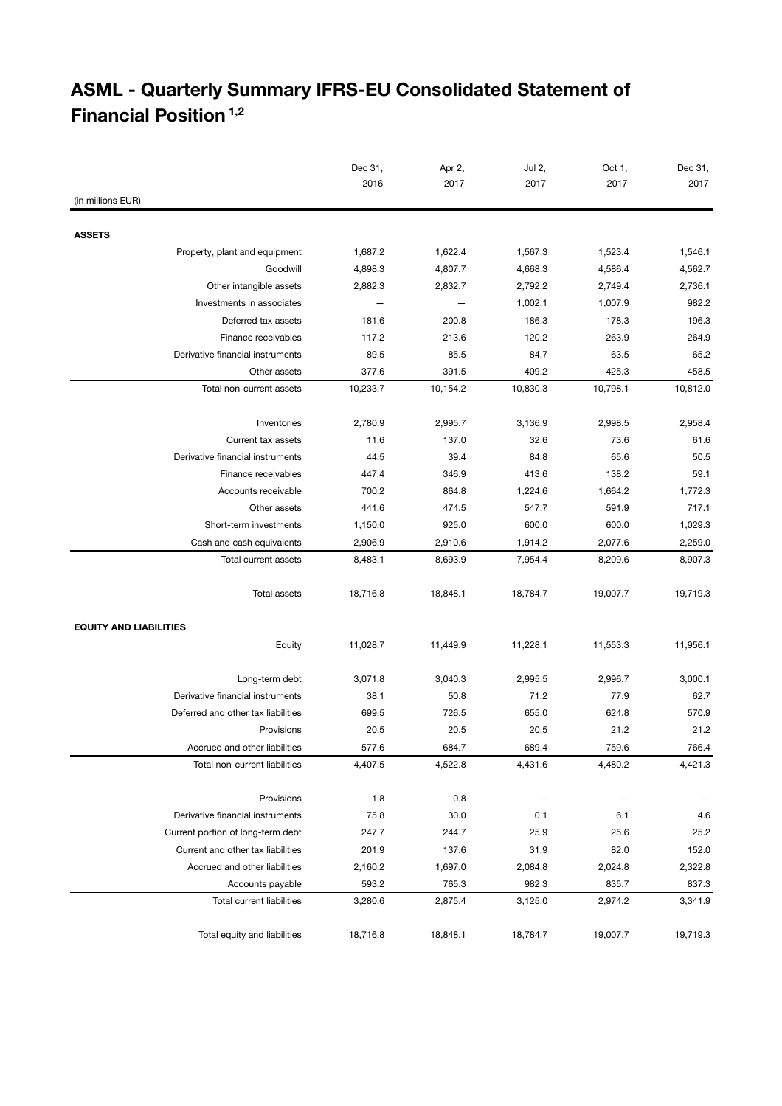## **ASML - Quarterly Summary IFRS-EU Consolidated Statement of Financial Position 1,2**

|                                                | Dec 31,  | Apr 2,   | Jul 2,   | Oct 1,   | Dec 31,  |
|------------------------------------------------|----------|----------|----------|----------|----------|
|                                                | 2016     | 2017     | 2017     | 2017     | 2017     |
| (in millions EUR)                              |          |          |          |          |          |
|                                                |          |          |          |          |          |
| <b>ASSETS</b><br>Property, plant and equipment | 1,687.2  | 1,622.4  | 1,567.3  | 1,523.4  | 1,546.1  |
| Goodwill                                       | 4,898.3  | 4,807.7  | 4,668.3  | 4,586.4  | 4,562.7  |
| Other intangible assets                        | 2,882.3  | 2,832.7  | 2,792.2  | 2,749.4  | 2,736.1  |
| Investments in associates                      |          |          | 1,002.1  | 1,007.9  | 982.2    |
| Deferred tax assets                            | 181.6    | 200.8    | 186.3    | 178.3    | 196.3    |
| Finance receivables                            | 117.2    | 213.6    | 120.2    | 263.9    | 264.9    |
| Derivative financial instruments               | 89.5     | 85.5     | 84.7     | 63.5     | 65.2     |
| Other assets                                   | 377.6    | 391.5    | 409.2    | 425.3    | 458.5    |
| Total non-current assets                       | 10,233.7 | 10,154.2 | 10,830.3 | 10,798.1 | 10,812.0 |
|                                                |          |          |          |          |          |
| Inventories                                    | 2,780.9  | 2,995.7  | 3,136.9  | 2,998.5  | 2,958.4  |
| Current tax assets                             | 11.6     | 137.0    | 32.6     | 73.6     | 61.6     |
| Derivative financial instruments               | 44.5     | 39.4     | 84.8     | 65.6     | 50.5     |
| Finance receivables                            | 447.4    | 346.9    | 413.6    | 138.2    | 59.1     |
| Accounts receivable                            | 700.2    | 864.8    | 1,224.6  | 1,664.2  | 1,772.3  |
| Other assets                                   | 441.6    | 474.5    | 547.7    | 591.9    | 717.1    |
| Short-term investments                         | 1,150.0  | 925.0    | 600.0    | 600.0    | 1,029.3  |
| Cash and cash equivalents                      | 2,906.9  | 2,910.6  | 1,914.2  | 2,077.6  | 2,259.0  |
| Total current assets                           | 8,483.1  | 8,693.9  | 7,954.4  | 8,209.6  | 8,907.3  |
|                                                |          |          |          |          |          |
| Total assets                                   | 18,716.8 | 18,848.1 | 18,784.7 | 19,007.7 | 19,719.3 |
|                                                |          |          |          |          |          |
| <b>EQUITY AND LIABILITIES</b>                  |          |          |          |          |          |
| Equity                                         | 11,028.7 | 11,449.9 | 11,228.1 | 11,553.3 | 11,956.1 |
|                                                |          |          |          |          |          |
| Long-term debt                                 | 3,071.8  | 3,040.3  | 2,995.5  | 2,996.7  | 3,000.1  |
| Derivative financial instruments               | 38.1     | 50.8     | 71.2     | 77.9     | 62.7     |
| Deferred and other tax liabilities             | 699.5    | 726.5    | 655.0    | 624.8    | 570.9    |
| Provisions                                     | 20.5     | 20.5     | 20.5     | 21.2     | 21.2     |
| Accrued and other liabilities                  | 577.6    | 684.7    | 689.4    | 759.6    | 766.4    |
| Total non-current liabilities                  | 4,407.5  | 4,522.8  | 4,431.6  | 4,480.2  | 4,421.3  |
|                                                |          |          |          |          |          |
| Provisions                                     | 1.8      | 0.8      |          |          |          |
| Derivative financial instruments               | 75.8     | 30.0     | 0.1      | 6.1      | 4.6      |
| Current portion of long-term debt              | 247.7    | 244.7    | 25.9     | 25.6     | 25.2     |
| Current and other tax liabilities              | 201.9    | 137.6    | 31.9     | 82.0     | 152.0    |
| Accrued and other liabilities                  | 2,160.2  | 1,697.0  | 2,084.8  | 2,024.8  | 2,322.8  |
| Accounts payable                               | 593.2    | 765.3    | 982.3    | 835.7    | 837.3    |
| Total current liabilities                      | 3,280.6  | 2,875.4  | 3,125.0  | 2,974.2  | 3,341.9  |
|                                                |          |          |          |          |          |
| Total equity and liabilities                   | 18,716.8 | 18,848.1 | 18,784.7 | 19,007.7 | 19,719.3 |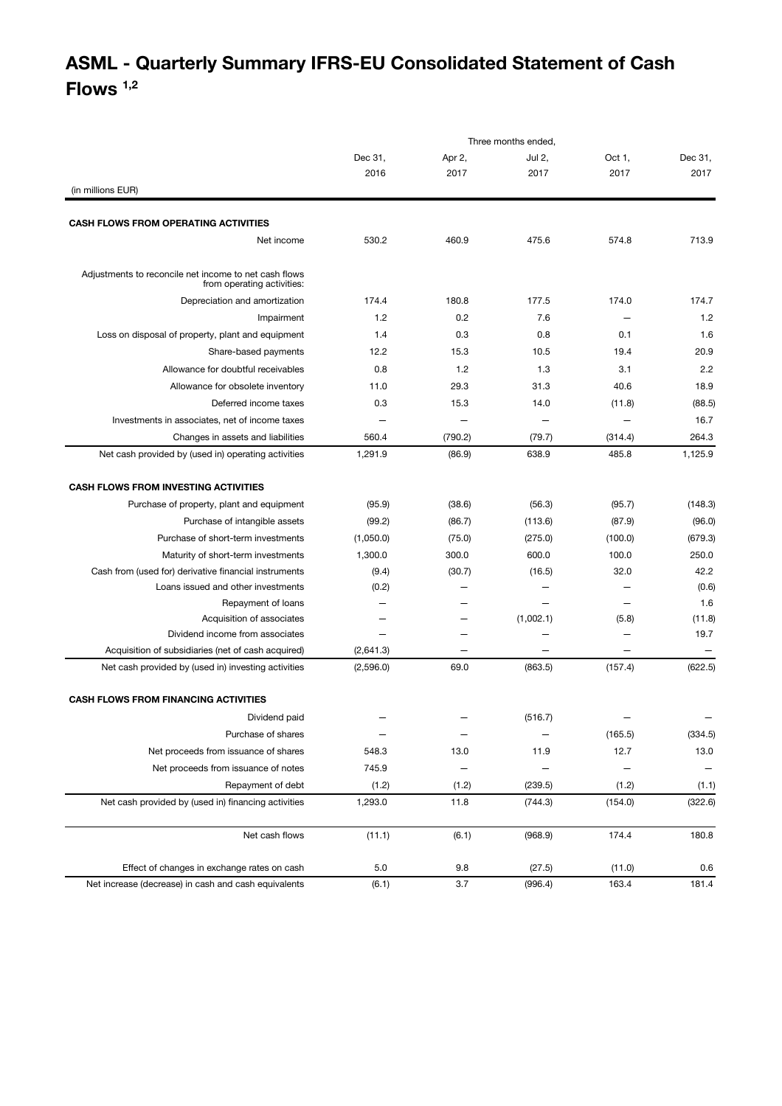## **ASML - Quarterly Summary IFRS-EU Consolidated Statement of Cash Flows 1,2**

|                                                                                     | Three months ended, |         |                   |                          |         |
|-------------------------------------------------------------------------------------|---------------------|---------|-------------------|--------------------------|---------|
|                                                                                     | Dec 31,             | Apr 2,  | Jul 2,            | Oct 1,                   | Dec 31, |
|                                                                                     | 2016                | 2017    | 2017              | 2017                     | 2017    |
| (in millions EUR)                                                                   |                     |         |                   |                          |         |
| <b>CASH FLOWS FROM OPERATING ACTIVITIES</b>                                         |                     |         |                   |                          |         |
| Net income                                                                          | 530.2               | 460.9   | 475.6             | 574.8                    | 713.9   |
|                                                                                     |                     |         |                   |                          |         |
| Adjustments to reconcile net income to net cash flows<br>from operating activities: |                     |         |                   |                          |         |
| Depreciation and amortization                                                       | 174.4               | 180.8   | 177.5             | 174.0                    | 174.7   |
| Impairment                                                                          | 1.2                 | 0.2     | 7.6               |                          | 1.2     |
| Loss on disposal of property, plant and equipment                                   | 1.4                 | 0.3     | 0.8               | 0.1                      | 1.6     |
| Share-based payments                                                                | 12.2                | 15.3    | 10.5              | 19.4                     | 20.9    |
| Allowance for doubtful receivables                                                  | 0.8                 | 1.2     | 1.3               | 3.1                      | 2.2     |
| Allowance for obsolete inventory                                                    | 11.0                | 29.3    | 31.3              | 40.6                     | 18.9    |
| Deferred income taxes                                                               | 0.3                 | 15.3    | 14.0              | (11.8)                   | (88.5)  |
| Investments in associates, net of income taxes                                      |                     |         | -                 |                          | 16.7    |
| Changes in assets and liabilities                                                   | 560.4               | (790.2) | (79.7)            | (314.4)                  | 264.3   |
| Net cash provided by (used in) operating activities                                 | 1,291.9             | (86.9)  | 638.9             | 485.8                    | 1,125.9 |
| <b>CASH FLOWS FROM INVESTING ACTIVITIES</b>                                         |                     |         |                   |                          |         |
| Purchase of property, plant and equipment                                           | (95.9)              | (38.6)  | (56.3)            | (95.7)                   | (148.3) |
| Purchase of intangible assets                                                       | (99.2)              | (86.7)  | (113.6)           | (87.9)                   | (96.0)  |
| Purchase of short-term investments                                                  | (1,050.0)           | (75.0)  | (275.0)           | (100.0)                  | (679.3) |
| Maturity of short-term investments                                                  | 1,300.0             | 300.0   | 600.0             | 100.0                    | 250.0   |
| Cash from (used for) derivative financial instruments                               | (9.4)               | (30.7)  | (16.5)            | 32.0                     | 42.2    |
| Loans issued and other investments                                                  | (0.2)               |         |                   |                          | (0.6)   |
| Repayment of loans                                                                  |                     |         |                   |                          | 1.6     |
| Acquisition of associates                                                           |                     |         | (1,002.1)         | (5.8)                    | (11.8)  |
| Dividend income from associates                                                     |                     |         |                   |                          | 19.7    |
| Acquisition of subsidiaries (net of cash acquired)                                  | (2,641.3)           |         |                   | $\overline{\phantom{0}}$ |         |
| Net cash provided by (used in) investing activities                                 | (2,596.0)           | 69.0    | (863.5)           | (157.4)                  | (622.5) |
| <b>CASH FLOWS FROM FINANCING ACTIVITIES</b>                                         |                     |         |                   |                          |         |
| Dividend paid                                                                       |                     |         | (516.7)           |                          |         |
| Purchase of shares                                                                  | $\qquad \qquad -$   |         | $\qquad \qquad -$ | (165.5)                  | (334.5) |
| Net proceeds from issuance of shares                                                | 548.3               | 13.0    | 11.9              | 12.7                     | 13.0    |
| Net proceeds from issuance of notes                                                 | 745.9               |         |                   |                          |         |
| Repayment of debt                                                                   | (1.2)               | (1.2)   | (239.5)           | (1.2)                    | (1.1)   |
| Net cash provided by (used in) financing activities                                 | 1,293.0             | 11.8    | (744.3)           | (154.0)                  | (322.6) |
| Net cash flows                                                                      | (11.1)              | (6.1)   | (968.9)           | 174.4                    | 180.8   |
|                                                                                     |                     |         |                   |                          |         |
| Effect of changes in exchange rates on cash                                         | 5.0                 | 9.8     | (27.5)            | (11.0)                   | 0.6     |
| Net increase (decrease) in cash and cash equivalents                                | (6.1)               | 3.7     | (996.4)           | 163.4                    | 181.4   |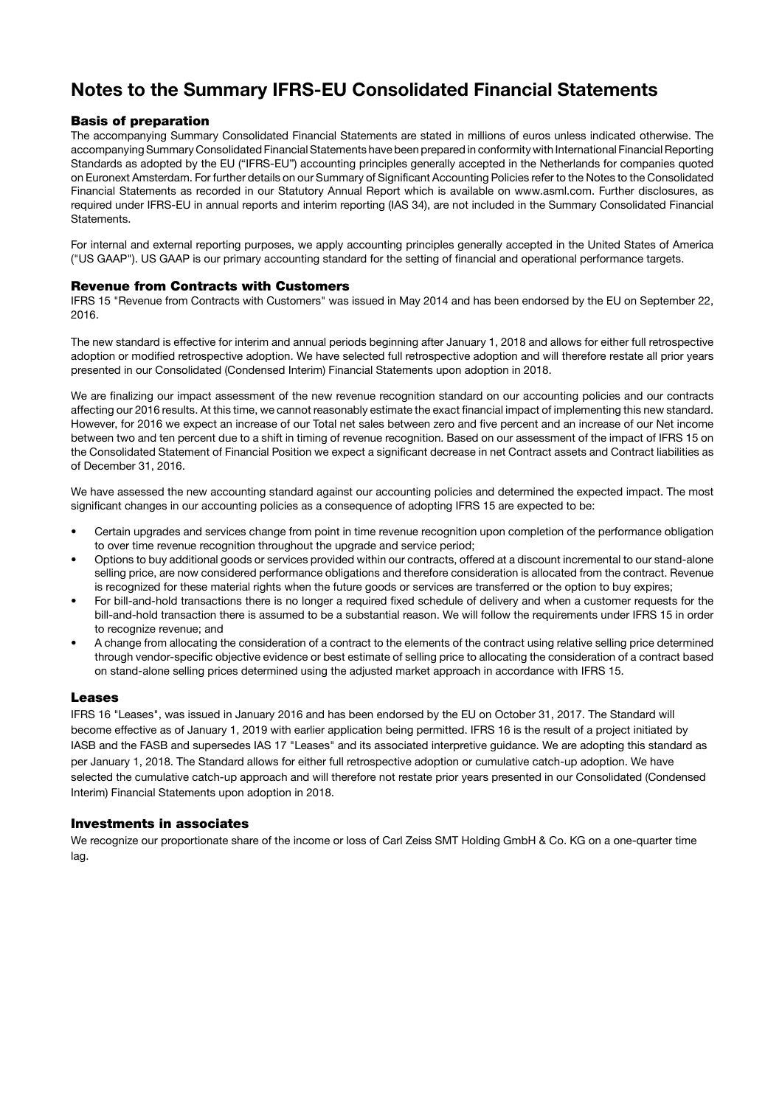### **Notes to the Summary IFRS-EU Consolidated Financial Statements**

#### **Basis of preparation**

The accompanying Summary Consolidated Financial Statements are stated in millions of euros unless indicated otherwise. The accompanying Summary Consolidated Financial Statements have been prepared in conformity with International Financial Reporting Standards as adopted by the EU ("IFRS-EU") accounting principles generally accepted in the Netherlands for companies quoted on Euronext Amsterdam. For further details on our Summary of Significant Accounting Policies refer to the Notes to the Consolidated Financial Statements as recorded in our Statutory Annual Report which is available on www.asml.com. Further disclosures, as required under IFRS-EU in annual reports and interim reporting (IAS 34), are not included in the Summary Consolidated Financial Statements.

For internal and external reporting purposes, we apply accounting principles generally accepted in the United States of America ("US GAAP"). US GAAP is our primary accounting standard for the setting of financial and operational performance targets.

#### **Revenue from Contracts with Customers**

IFRS 15 "Revenue from Contracts with Customers" was issued in May 2014 and has been endorsed by the EU on September 22, 2016.

The new standard is effective for interim and annual periods beginning after January 1, 2018 and allows for either full retrospective adoption or modified retrospective adoption. We have selected full retrospective adoption and will therefore restate all prior years presented in our Consolidated (Condensed Interim) Financial Statements upon adoption in 2018.

We are finalizing our impact assessment of the new revenue recognition standard on our accounting policies and our contracts affecting our 2016 results. At this time, we cannot reasonably estimate the exact financial impact of implementing this new standard. However, for 2016 we expect an increase of our Total net sales between zero and five percent and an increase of our Net income between two and ten percent due to a shift in timing of revenue recognition. Based on our assessment of the impact of IFRS 15 on the Consolidated Statement of Financial Position we expect a significant decrease in net Contract assets and Contract liabilities as of December 31, 2016.

We have assessed the new accounting standard against our accounting policies and determined the expected impact. The most significant changes in our accounting policies as a consequence of adopting IFRS 15 are expected to be:

- Certain upgrades and services change from point in time revenue recognition upon completion of the performance obligation to over time revenue recognition throughout the upgrade and service period;
- Options to buy additional goods or services provided within our contracts, offered at a discount incremental to our stand-alone selling price, are now considered performance obligations and therefore consideration is allocated from the contract. Revenue is recognized for these material rights when the future goods or services are transferred or the option to buy expires;
- For bill-and-hold transactions there is no longer a required fixed schedule of delivery and when a customer requests for the bill-and-hold transaction there is assumed to be a substantial reason. We will follow the requirements under IFRS 15 in order to recognize revenue; and
- A change from allocating the consideration of a contract to the elements of the contract using relative selling price determined through vendor-specific objective evidence or best estimate of selling price to allocating the consideration of a contract based on stand-alone selling prices determined using the adjusted market approach in accordance with IFRS 15.

#### **Leases**

IFRS 16 "Leases", was issued in January 2016 and has been endorsed by the EU on October 31, 2017. The Standard will become effective as of January 1, 2019 with earlier application being permitted. IFRS 16 is the result of a project initiated by IASB and the FASB and supersedes IAS 17 "Leases" and its associated interpretive guidance. We are adopting this standard as per January 1, 2018. The Standard allows for either full retrospective adoption or cumulative catch-up adoption. We have selected the cumulative catch-up approach and will therefore not restate prior years presented in our Consolidated (Condensed Interim) Financial Statements upon adoption in 2018.

#### **Investments in associates**

We recognize our proportionate share of the income or loss of Carl Zeiss SMT Holding GmbH & Co. KG on a one-quarter time lag.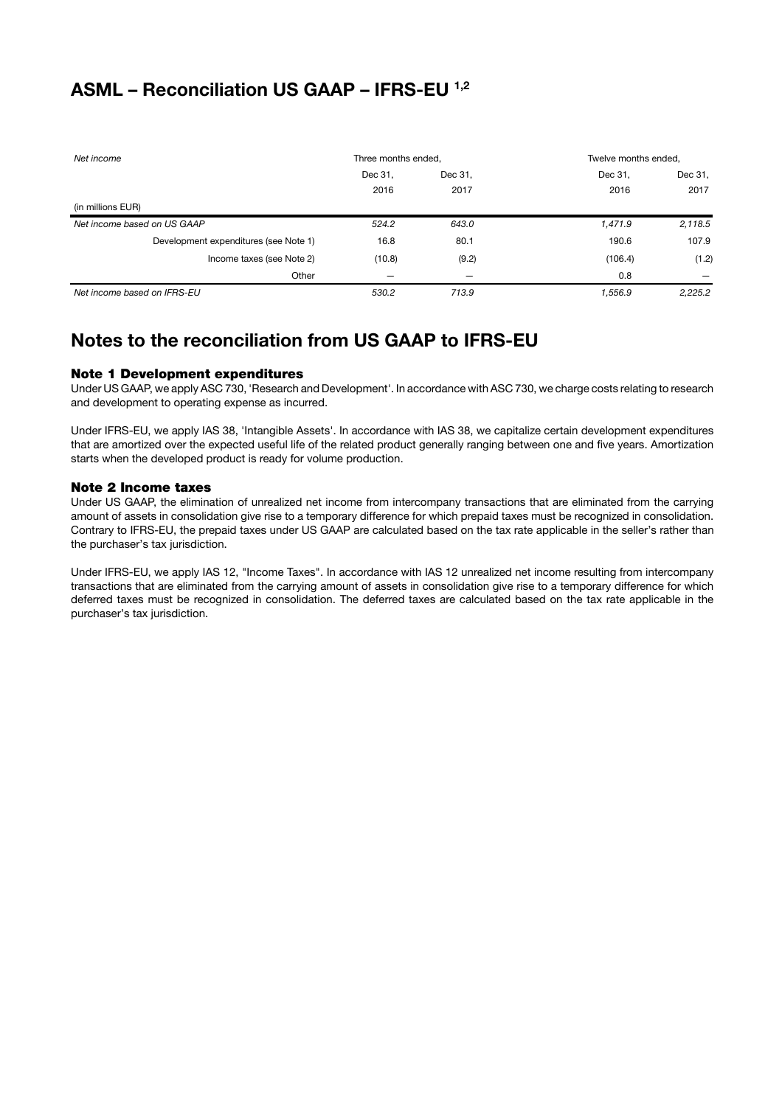### **ASML – Reconciliation US GAAP – IFRS-EU 1,2**

| Net income                            | Three months ended, |         | Twelve months ended, |         |
|---------------------------------------|---------------------|---------|----------------------|---------|
|                                       | Dec 31,             | Dec 31, | Dec 31,              | Dec 31, |
|                                       | 2016                | 2017    | 2016                 | 2017    |
| (in millions EUR)                     |                     |         |                      |         |
| Net income based on US GAAP           | 524.2               | 643.0   | 1,471.9              | 2,118.5 |
| Development expenditures (see Note 1) | 16.8                | 80.1    | 190.6                | 107.9   |
| Income taxes (see Note 2)             | (10.8)              | (9.2)   | (106.4)              | (1.2)   |
| Other                                 |                     | -       | 0.8                  |         |
| Net income based on IFRS-EU           | 530.2               | 713.9   | 1,556.9              | 2,225.2 |

### **Notes to the reconciliation from US GAAP to IFRS-EU**

#### **Note 1 Development expenditures**

Under US GAAP, we apply ASC 730, 'Research and Development'. In accordance with ASC 730, we charge costs relating to research and development to operating expense as incurred.

Under IFRS-EU, we apply IAS 38, 'Intangible Assets'. In accordance with IAS 38, we capitalize certain development expenditures that are amortized over the expected useful life of the related product generally ranging between one and five years. Amortization starts when the developed product is ready for volume production.

#### **Note 2 Income taxes**

Under US GAAP, the elimination of unrealized net income from intercompany transactions that are eliminated from the carrying amount of assets in consolidation give rise to a temporary difference for which prepaid taxes must be recognized in consolidation. Contrary to IFRS-EU, the prepaid taxes under US GAAP are calculated based on the tax rate applicable in the seller's rather than the purchaser's tax jurisdiction.

Under IFRS-EU, we apply IAS 12, "Income Taxes". In accordance with IAS 12 unrealized net income resulting from intercompany transactions that are eliminated from the carrying amount of assets in consolidation give rise to a temporary difference for which deferred taxes must be recognized in consolidation. The deferred taxes are calculated based on the tax rate applicable in the purchaser's tax jurisdiction.